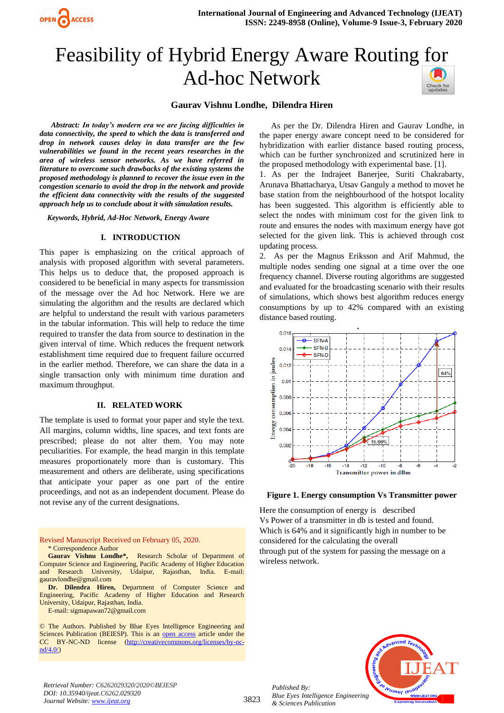

# Feasibility of Hybrid Energy Aware Routing [for](https://crossmark.crossref.org/dialog/?doi=10.35940/ijeat.C6262.029320&domain=www.ijeat.org) Ad-hoc Network



#### **Gaurav Vishnu Londhe, Dilendra Hiren**

*Abstract: In today's modern era we are facing difficulties in data connectivity, the speed to which the data is transferred and drop in network causes delay in data transfer are the few vulnerabilities we found in the recent years researches in the area of wireless sensor networks. As we have referred in literature to overcome such drawbacks of the existing systems the proposed methodology is planned to recover the issue even in the congestion scenario to avoid the drop in the network and provide the efficient data connectivity with the results of the suggested approach help us to conclude about it with simulation results.*

*Keywords, Hybrid, Ad-Hoc Network, Energy Aware*

#### **I. INTRODUCTION**

This paper is emphasizing on the critical approach of analysis with proposed algorithm with several parameters. This helps us to deduce that, the proposed approach is considered to be beneficial in many aspects for transmission of the message over the Ad hoc Network. Here we are simulating the algorithm and the results are declared which are helpful to understand the result with various parameters in the tabular information. This will help to reduce the time required to transfer the data from source to destination in the given interval of time. Which reduces the frequent network establishment time required due to frequent failure occurred in the earlier method. Therefore, we can share the data in a single transaction only with minimum time duration and maximum throughput.

#### **II. RELATED WORK**

The template is used to format your paper and style the text. All margins, column widths, line spaces, and text fonts are prescribed; please do not alter them. You may note peculiarities. For example, the head margin in this template measures proportionately more than is customary. This measurement and others are deliberate, using specifications that anticipate your paper as one part of the entire proceedings, and not as an independent document. Please do not revise any of the current designations.

#### Revised Manuscript Received on February 05, 2020. \* Correspondence Author

**Gaurav Vishnu Londhe\*,** Research Scholar of Department of Computer Science and Engineering, Pacific Academy of Higher Education and Research University, Udaipur, Rajasthan, India. E-mail: [gauravlondhe@gmail.com](mailto:gauravlondhe@gmail.com)

**Dr. Dilendra Hiren,** Department of Computer Science and Engineering, Pacific Academy of Higher Education and Research University, Udaipur, Rajasthan, India.

E-mail: [sigmapawan72@gmail.com](mailto:sigmapawan72@gmail.com)

© The Authors. Published by Blue Eyes Intelligence Engineering and Sciences Publication (BEIESP). This is an [open access](https://www.openaccess.nl/en/open-publications) article under the CC BY-NC-ND license [\(http://creativecommons.org/licenses/by-nc](http://creativecommons.org/licenses/by-nc-nd/4.0/) $nd/4.0/$ 

As per the Dr. Dilendra Hiren and Gaurav Londhe, in the paper energy aware concept need to be considered for hybridization with earlier distance based routing process, which can be further synchronized and scrutinized here in the proposed methodology with experimental base. [1].

1. As per the Indrajeet Banerjee, Suriti Chakrabarty, Arunava Bhattacharya, Utsav Ganguly a method to movet he base station from the neighbourhood of the hotspot locality has been suggested. This algorithm is efficiently able to select the nodes with minimum cost for the given link to route and ensures the nodes with maximum energy have got selected for the given link. This is achieved through cost updating process.

2. As per the Magnus Eriksson and Arif Mahmud, the multiple nodes sending one signal at a time over the one frequency channel. Diverse routing algorithms are suggested and evaluated for the broadcasting scenario with their results of simulations, which shows best algorithm reduces energy consumptions by up to 42% compared with an existing distance based routing.





Here the consumption of energy is described Vs Power of a transmitter in db is tested and found. Which is 64% and it significantly high in number to be considered for the calculating the overall through put of the system for passing the message on a wireless network.



*Retrieval Number: C6262029320/2020©BEIESP DOI: 10.35940/ijeat.C6262.029320 Journal Website[: www.ijeat.org](http://www.ijeat.org/)*

*Published By: Blue Eyes Intelligence Engineering & Sciences Publication*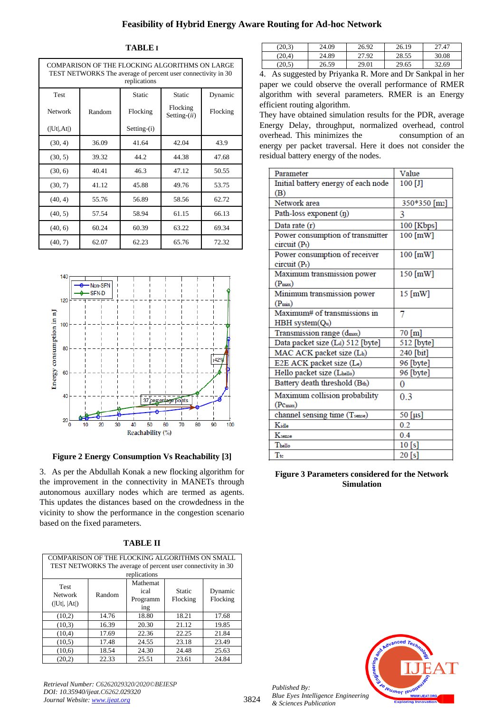## **Feasibility of Hybrid Energy Aware Routing for Ad-hoc Network**

#### **TABLE I**

| COMPARISON OF THE FLOCKING ALGORITHMS ON LARGE<br>TEST NETWORKS The average of percent user connectivity in 30<br>replications |        |               |                             |          |  |  |
|--------------------------------------------------------------------------------------------------------------------------------|--------|---------------|-----------------------------|----------|--|--|
| Test                                                                                                                           |        | Static        | <b>Static</b>               | Dynamic  |  |  |
| Network                                                                                                                        | Random | Flocking      | Flocking<br>Setting- $(ii)$ | Flocking |  |  |
| ( Ut ,At )                                                                                                                     |        | $Setting-(i)$ |                             |          |  |  |
| (30, 4)                                                                                                                        | 36.09  | 41.64         | 42.04                       | 43.9     |  |  |
| (30, 5)                                                                                                                        | 39.32  | 44.2          | 44.38                       | 47.68    |  |  |
| (30, 6)                                                                                                                        | 40.41  | 46.3          | 47.12                       | 50.55    |  |  |
| (30, 7)                                                                                                                        | 41.12  | 45.88         | 49.76                       | 53.75    |  |  |
| (40, 4)                                                                                                                        | 55.76  | 56.89         | 58.56                       | 62.72    |  |  |
| (40, 5)                                                                                                                        | 57.54  | 58.94         | 61.15                       | 66.13    |  |  |
| (40, 6)                                                                                                                        | 60.24  | 60.39         | 63.22                       | 69.34    |  |  |
| (40, 7)                                                                                                                        | 62.07  | 62.23         | 65.76                       | 72.32    |  |  |



**Figure 2 Energy Consumption Vs Reachability [3]**

3. As per the Abdullah Konak a new flocking algorithm for the improvement in the connectivity in MANETs through autonomous auxillary nodes which are termed as agents. This updates the distances based on the crowdedness in the vicinity to show the performance in the congestion scenario based on the fixed parameters.

| A BI<br>. .<br>ı |
|------------------|
|------------------|

|                | COMPARISON OF THE FLOCKING ALGORITHMS ON SMALL                               |          |          |          |  |  |  |  |
|----------------|------------------------------------------------------------------------------|----------|----------|----------|--|--|--|--|
|                | TEST NETWORKS The average of percent user connectivity in 30<br>replications |          |          |          |  |  |  |  |
|                |                                                                              | Mathemat |          |          |  |  |  |  |
| <b>Test</b>    |                                                                              | ical     | Static   |          |  |  |  |  |
| <b>Network</b> | Random                                                                       |          |          | Dynamic  |  |  |  |  |
| ( Ut ,  At )   |                                                                              | Programm | Flocking | Flocking |  |  |  |  |
|                |                                                                              | ing      |          |          |  |  |  |  |
| (10.2)         | 14.76                                                                        | 18.80    | 18.21    | 17.68    |  |  |  |  |
| (10.3)         | 16.39                                                                        | 20.30    | 21.12    | 19.85    |  |  |  |  |
| (10.4)         | 17.69                                                                        | 22.36    | 22.25    | 21.84    |  |  |  |  |
| (10.5)         | 17.48                                                                        | 24.55    | 23.18    | 23.49    |  |  |  |  |
| (10.6)         | 18.54                                                                        | 24.30    | 24.48    | 25.63    |  |  |  |  |
| (20,2)         | 22.33                                                                        | 25.51    | 23.61    | 24.84    |  |  |  |  |

*Retrieval Number: C6262029320/2020©BEIESP DOI: 10.35940/ijeat.C6262.029320 Journal Website[: www.ijeat.org](http://www.ijeat.org/)*

| (20.3) | 24.09 | 26.92 | 26.19 | 27.47 |
|--------|-------|-------|-------|-------|
| (20.4) | 24.89 | 27.92 | 28.55 | 30.08 |
| (20.5) | 26.59 | 29.01 | 29.65 | 32.69 |

4. As suggested by Priyanka R. More and Dr Sankpal in her paper we could observe the overall performance of RMER algorithm with several parameters. RMER is an Energy efficient routing algorithm.

They have obtained simulation results for the PDR, average Energy Delay, throughput, normalized overhead, control overhead. This minimizes the consumption of an energy per packet traversal. Here it does not consider the residual battery energy of the nodes.

| Parameter                                            | Value        |
|------------------------------------------------------|--------------|
| Initial battery energy of each node                  | $100$ [J]    |
| (B)                                                  |              |
| Network area                                         | 350*350 [m2] |
| Path-loss exponent (n)                               | 3            |
| Data rate (r)                                        | 100 [Kbps]   |
| Power consumption of transmitter<br>$circuit(P_t)$   | 100 [mW]     |
| Power consumption of receiver<br>circuit (Pr)        | 100 [mW]     |
| Maximum transmission power<br>$(P_{\text{max}})$     | 150 [mW]     |
| Minimum transmission power<br>$(P_{min})$            | $15$ [mW]    |
| Maximum# of transmissions in<br>$HBH$ system $(Qu)$  | 7            |
| Transmission range (dmax)                            | 70 [m]       |
| Data packet size (Ld) 512 [byte]                     | 512 [byte]   |
| MAC ACK packet size (Lh)                             | 240 [bit]    |
| E2E ACK packet size (Le)                             | 96 [byte]    |
| Hello packet size (Lhello)                           | 96 [byte]    |
| Battery death threshold (Bth)                        | 0            |
| Maximum collision probability<br>$(Pc_{\text{max}})$ | 0.3          |
| channel sensing time (Tsense)                        | 50 [μs]      |
| Kidle                                                | 0.2          |
| Ksense                                               | 0.4          |
| Thello                                               | $10$ [s]     |
| Tte                                                  | 20 [s]       |

**Figure 3 Parameters considered for the Network Simulation** 



*Published By: Blue Eyes Intelligence Engineering & Sciences Publication* 

3824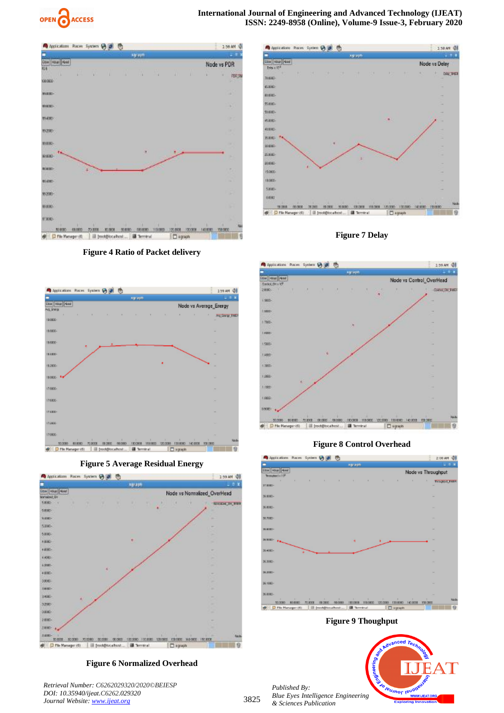











**Figure 6 Normalized Overhead**

*Retrieval Number: C6262029320/2020©BEIESP DOI: 10.35940/ijeat.C6262.029320 Journal Website[: www.ijeat.org](http://www.ijeat.org/)*



**Figure 7 Delay**



## **Figure 8 Control Overhead**



**Figure 9 Thoughput**

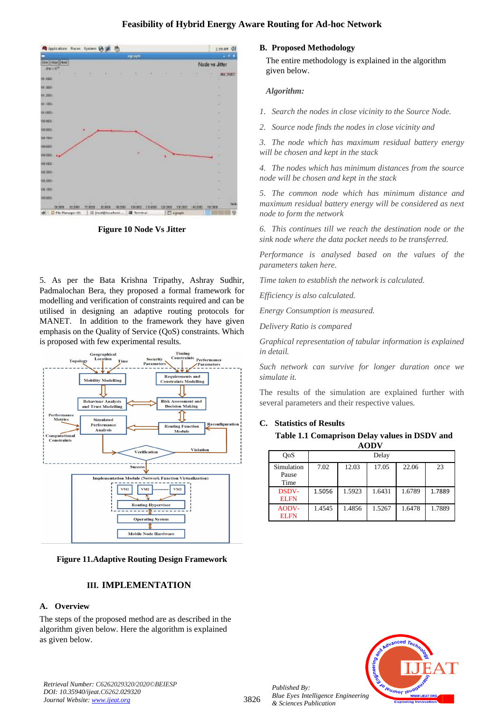## **Feasibility of Hybrid Energy Aware Routing for Ad-hoc Network**



**Figure 10 Node Vs Jitter**

5. As per the Bata Krishna Tripathy, Ashray Sudhir, Padmalochan Bera, they proposed a formal framework for modelling and verification of constraints required and can be utilised in designing an adaptive routing protocols for MANET. In addition to the framework they have given emphasis on the Quality of Service (QoS) constraints. Which is proposed with few experimental results.



**Figure 11.Adaptive Routing Design Framework**

## **III. IMPLEMENTATION**

### **A. Overview**

The steps of the proposed method are as described in the algorithm given below. Here the algorithm is explained as given below.

#### **B. Proposed Methodology**

 The entire methodology is explained in the algorithm given below.

#### *Algorithm:*

*1. Search the nodes in close vicinity to the Source Node.*

*2. Source node finds the nodes in close vicinity and* 

*3. The node which has maximum residual battery energy will be chosen and kept in the stack*

*4. The nodes which has minimum distances from the source node will be chosen and kept in the stack*

*5. The common node which has minimum distance and maximum residual battery energy will be considered as next node to form the network* 

*6. This continues till we reach the destination node or the sink node where the data pocket needs to be transferred.*

*Performance is analysed based on the values of the parameters taken here.*

*Time taken to establish the network is calculated.*

*Efficiency is also calculated.*

*Energy Consumption is measured.*

*Delivery Ratio is compared*

*Graphical representation of tabular information is explained in detail.*

*Such network can survive for longer duration once we simulate it.*

The results of the simulation are explained further with several parameters and their respective values.

## **C. Statistics of Results**

**Table 1.1 Comaprison Delay values in DSDV and AODV**

| OoS                         |        |        | Delay  |        |        |
|-----------------------------|--------|--------|--------|--------|--------|
| Simulation<br>Pause<br>Time | 7.02   | 12.03  | 17.05  | 22.06  | 23     |
| <b>DSDV-</b><br><b>ELFN</b> | 1.5056 | 1.5923 | 1.6431 | 1.6789 | 1.7889 |
| AODV-<br><b>ELFN</b>        | 1.4545 | 1.4856 | 1.5267 | 1.6478 | 1.7889 |



*Published By:*

*& Sciences Publication*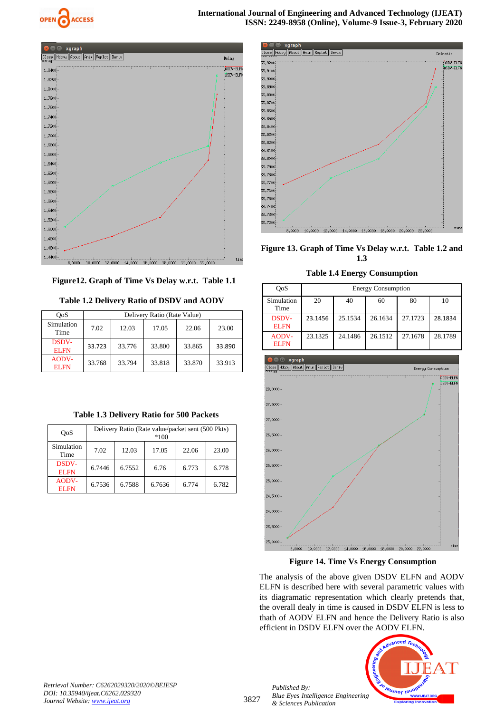



 **Figure12. Graph of Time Vs Delay w.r.t. Table 1.1**

**Table 1.2 Delivery Ratio of DSDV and AODV**

| <b>OoS</b>                  | Delivery Ratio (Rate Value) |        |        |        |        |
|-----------------------------|-----------------------------|--------|--------|--------|--------|
| Simulation<br>Time          | 7.02                        | 12.03  | 17.05  | 22.06  | 23.00  |
| <b>DSDV-</b><br><b>ELFN</b> | 33.723                      | 33.776 | 33.800 | 33.865 | 33.890 |
| AODV-<br><b>ELFN</b>        | 33.768                      | 33.794 | 33.818 | 33.870 | 33.913 |

| Table 1.3 Delivery Ratio for 500 Packets |  |  |
|------------------------------------------|--|--|
|------------------------------------------|--|--|

| OoS                         | Delivery Ratio (Rate value/packet sent (500 Pkts)<br>$*100$ |        |        |       |       |
|-----------------------------|-------------------------------------------------------------|--------|--------|-------|-------|
| Simulation<br>Time          | 7.02                                                        | 12.03  | 17.05  | 22.06 | 23.00 |
| <b>DSDV-</b><br><b>ELFN</b> | 6.7446                                                      | 6.7552 | 6.76   | 6.773 | 6.778 |
| AODV-<br><b>ELFN</b>        | 6.7536                                                      | 6.7588 | 6.7636 | 6.774 | 6.782 |



**Figure 13. Graph of Time Vs Delay w.r.t. Table 1.2 and 1.3**

**Table 1.4 Energy Consumption**

| OoS                         | <b>Energy Consumption</b> |         |         |         |         |
|-----------------------------|---------------------------|---------|---------|---------|---------|
| Simulation<br>Time          | 20                        | 40      | 60      | 80      | 10      |
| <b>DSDV-</b><br><b>ELFN</b> | 23.1456                   | 25.1534 | 26.1634 | 27.1723 | 28.1834 |
| AODV-<br><b>ELFN</b>        | 23.1325                   | 24.1486 | 26.1512 | 27.1678 | 28.1789 |



**Figure 14. Time Vs Energy Consumption**

The analysis of the above given DSDV ELFN and AODV ELFN is described here with several parametric values with its diagramatic representation which clearly pretends that, the overall dealy in time is caused in DSDV ELFN is less to thath of AODV ELFN and hence the Delivery Ratio is also efficient in DSDV ELFN over the AODV ELFN.



*Retrieval Number: C6262029320/2020©BEIESP DOI: 10.35940/ijeat.C6262.029320 Journal Website[: www.ijeat.org](http://www.ijeat.org/)*

3827

*Published By: Blue Eyes Intelligence Engineering & Sciences Publication*